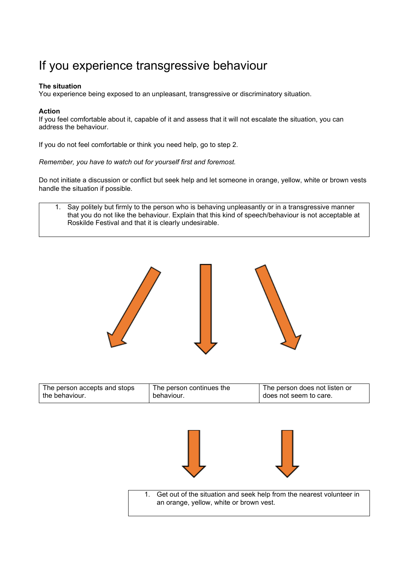## If you experience transgressive behaviour

## **The situation**

You experience being exposed to an unpleasant, transgressive or discriminatory situation.

## **Action**

If you feel comfortable about it, capable of it and assess that it will not escalate the situation, you can address the behaviour.

If you do not feel comfortable or think you need help, go to step 2.

*Remember, you have to watch out for yourself first and foremost.*

Do not initiate a discussion or conflict but seek help and let someone in orange, yellow, white or brown vests handle the situation if possible.

1. Say politely but firmly to the person who is behaving unpleasantly or in a transgressive manner that you do not like the behaviour. Explain that this kind of speech/behaviour is not acceptable at Roskilde Festival and that it is clearly undesirable.



| The person accepts and stops | The person continues the | The person does not listen or |
|------------------------------|--------------------------|-------------------------------|
| I the behaviour.             | behaviour.               | does not seem to care.        |





1. Get out of the situation and seek help from the nearest volunteer in an orange, yellow, white or brown vest.